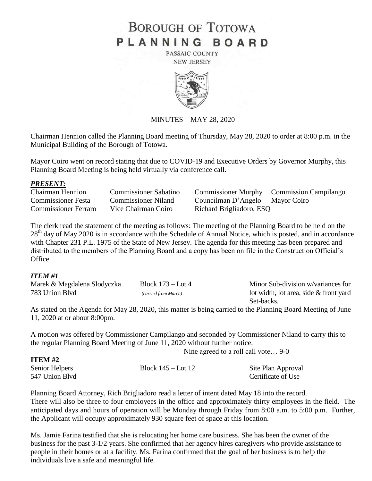# **BOROUGH OF TOTOWA** PLANNING BOARD

PASSAIC COUNTY **NEW JERSEY** 



MINUTES – MAY 28, 2020

Chairman Hennion called the Planning Board meeting of Thursday, May 28, 2020 to order at 8:00 p.m. in the Municipal Building of the Borough of Totowa.

Mayor Coiro went on record stating that due to COVID-19 and Executive Orders by Governor Murphy, this Planning Board Meeting is being held virtually via conference call.

#### *PRESENT:*

Commissioner Festa Commissioner Niland Councilman D'Angelo Mayor Coiro Commissioner Ferraro Vice Chairman Coiro Richard Brigliadoro, ESQ

Chairman Hennion Commissioner Sabatino Commissioner Murphy Commission Campilango

The clerk read the statement of the meeting as follows: The meeting of the Planning Board to be held on the 28<sup>th</sup> day of May 2020 is in accordance with the Schedule of Annual Notice, which is posted, and in accordance with Chapter 231 P.L. 1975 of the State of New Jersey. The agenda for this meeting has been prepared and distributed to the members of the Planning Board and a copy has been on file in the Construction Official's Office.

### *ITEM #1*

**ITEM #2** 

| Marek & Magdalena Slodyczka | Block $173 -$ Lot 4  | Minor Sub-division w/variances for       |
|-----------------------------|----------------------|------------------------------------------|
| 783 Union Blyd              | (carried from March) | lot width, lot area, side $&$ front yard |
|                             |                      | Set-backs.                               |

As stated on the Agenda for May 28, 2020, this matter is being carried to the Planning Board Meeting of June 11, 2020 at or about 8:00pm.

A motion was offered by Commissioner Campilango and seconded by Commissioner Niland to carry this to the regular Planning Board Meeting of June 11, 2020 without further notice.

Nine agreed to a roll call vote… 9-0

| <b>TTTTTT</b>  |                        |                    |
|----------------|------------------------|--------------------|
| Senior Helpers | Block $145 -$ Lot $12$ | Site Plan Approval |
| 547 Union Blvd |                        | Certificate of Use |

Planning Board Attorney, Rich Brigliadoro read a letter of intent dated May 18 into the record. There will also be three to four employees in the office and approximately thirty employees in the field. The anticipated days and hours of operation will be Monday through Friday from 8:00 a.m. to 5:00 p.m. Further, the Applicant will occupy approximately 930 square feet of space at this location.

Ms. Jamie Farina testified that she is relocating her home care business. She has been the owner of the business for the past 3-1/2 years. She confirmed that her agency hires caregivers who provide assistance to people in their homes or at a facility. Ms. Farina confirmed that the goal of her business is to help the individuals live a safe and meaningful life.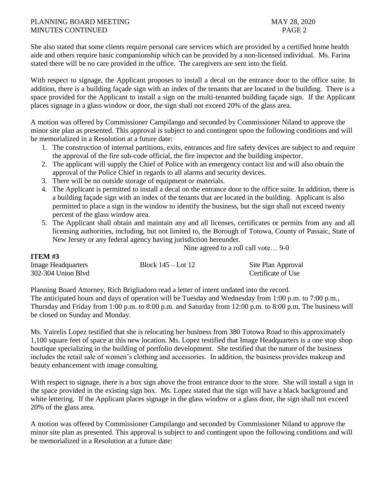#### PLANNING BOARD MEETING MAY 28, 2020 MINUTES CONTINUED **PAGE 2**

**ITEM #3**

She also stated that some clients require personal care services which are provided by a certified home health aide and others require basic companionship which can be provided by a non-licensed individual. Ms. Farina stated there will be no care provided in the office. The caregivers are sent into the field.

With respect to signage, the Applicant proposes to install a decal on the entrance door to the office suite. In addition, there is a building façade sign with an index of the tenants that are located in the building. There is a space provided for the Applicant to install a sign on the multi-tenanted building façade sign. If the Applicant places signage in a glass window or door, the sign shall not exceed 20% of the glass area.

A motion was offered by Commissioner Campilango and seconded by Commissioner Niland to approve the minor site plan as presented. This approval is subject to and contingent upon the following conditions and will be memorialized in a Resolution at a future date:

- 1. The construction of internal partitions, exits, entrances and fire safety devices are subject to and require the approval of the fire sub-code official, the fire inspector and the building inspector.
- 2. The applicant will supply the Chief of Police with an emergency contact list and will also obtain the approval of the Police Chief in regards to all alarms and security devices.
- 3. There will be no outside storage of equipment or materials.
- 4. The Applicant is permitted to install a decal on the entrance door to the office suite. In addition, there is a building façade sign with an index of the tenants that are located in the building. Applicant is also permitted to place a sign in the window to identify the business, but the sign shall not exceed twenty percent of the glass window area.
- 5. The Applicant shall obtain and maintain any and all licenses, certificates or permits from any and all licensing authorities, including, but not limited to, the Borough of Totowa, County of Passaic, State of New Jersey or any federal agency having jurisdiction hereunder.

Nine agreed to a roll call vote… 9-0

| -------                   |                        |                    |
|---------------------------|------------------------|--------------------|
| <b>Image Headquarters</b> | Block $145 -$ Lot $12$ | Site Plan Approval |
| 302-304 Union Blvd        |                        | Certificate of Use |

Planning Board Attorney, Rich Brigliadoro read a letter of intent undated into the record. The anticipated hours and days of operation will be Tuesday and Wednesday from 1:00 p.m. to 7:00 p.m., Thursday and Friday from 1:00 p.m. to 8:00 p.m. and Saturday from 12:00 p.m. to 8:00 p.m. The business will be closed on Sunday and Monday.

Ms. Yairelis Lopez testified that she is relocating her business from 380 Totowa Road to this approximately 1,100 square feet of space at this new location. Ms. Lopez testified that Image Headquarters is a one stop shop boutique specializing in the building of portfolio development. She testified that the nature of the business includes the retail sale of women's clothing and accessories. In addition, the business provides makeup and beauty enhancement with image consulting.

With respect to signage, there is a box sign above the front entrance door to the store. She will install a sign in the space provided in the existing sign box. Ms. Lopez stated that the sign will have a black background and white lettering. If the Applicant places signage in the glass window or a glass door, the sign shall not exceed 20% of the glass area.

A motion was offered by Commissioner Campilango and seconded by Commissioner Niland to approve the minor site plan as presented. This approval is subject to and contingent upon the following conditions and will be memorialized in a Resolution at a future date: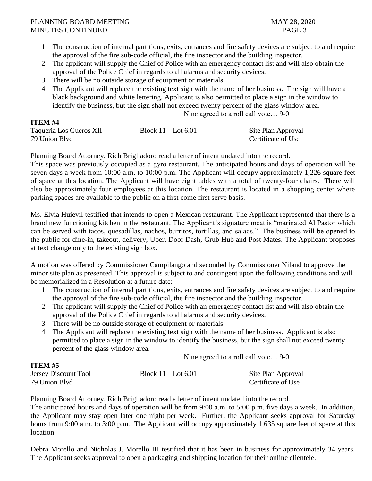#### PLANNING BOARD MEETING MAY 28, 2020 MINUTES CONTINUED PAGE 3

- 1. The construction of internal partitions, exits, entrances and fire safety devices are subject to and require the approval of the fire sub-code official, the fire inspector and the building inspector.
- 2. The applicant will supply the Chief of Police with an emergency contact list and will also obtain the approval of the Police Chief in regards to all alarms and security devices.
- 3. There will be no outside storage of equipment or materials.
- 4. The Applicant will replace the existing text sign with the name of her business. The sign will have a black background and white lettering. Applicant is also permitted to place a sign in the window to identify the business, but the sign shall not exceed twenty percent of the glass window area.

Nine agreed to a roll call vote… 9-0

## **ITEM #4**

**ITEM #**  $\mu$ *=* 

| Taqueria Los Gueros XII | Block $11 -$ Lot 6.01 | Site Plan Approval |
|-------------------------|-----------------------|--------------------|
| 79 Union Blyd           |                       | Certificate of Use |

Planning Board Attorney, Rich Brigliadoro read a letter of intent undated into the record.

This space was previously occupied as a gyro restaurant. The anticipated hours and days of operation will be seven days a week from 10:00 a.m. to 10:00 p.m. The Applicant will occupy approximately 1,226 square feet of space at this location. The Applicant will have eight tables with a total of twenty-four chairs. There will also be approximately four employees at this location. The restaurant is located in a shopping center where parking spaces are available to the public on a first come first serve basis.

Ms. Elvia Huievil testified that intends to open a Mexican restaurant. The Applicant represented that there is a brand new functioning kitchen in the restaurant. The Applicant's signature meat is "marinated Al Pastor which can be served with tacos, quesadillas, nachos, burritos, tortillas, and salads." The business will be opened to the public for dine-in, takeout, delivery, Uber, Door Dash, Grub Hub and Post Mates. The Applicant proposes at text change only to the existing sign box.

A motion was offered by Commissioner Campilango and seconded by Commissioner Niland to approve the minor site plan as presented. This approval is subject to and contingent upon the following conditions and will be memorialized in a Resolution at a future date:

- 1. The construction of internal partitions, exits, entrances and fire safety devices are subject to and require the approval of the fire sub-code official, the fire inspector and the building inspector.
- 2. The applicant will supply the Chief of Police with an emergency contact list and will also obtain the approval of the Police Chief in regards to all alarms and security devices.
- 3. There will be no outside storage of equipment or materials.
- 4. The Applicant will replace the existing text sign with the name of her business. Applicant is also permitted to place a sign in the window to identify the business, but the sign shall not exceed twenty percent of the glass window area.

Nine agreed to a roll call vote… 9-0

| 11 E.VI #3           |                       |                    |
|----------------------|-----------------------|--------------------|
| Jersey Discount Tool | Block $11 -$ Lot 6.01 | Site Plan Approval |
| 79 Union Blyd        |                       | Certificate of Use |

Planning Board Attorney, Rich Brigliadoro read a letter of intent undated into the record.

The anticipated hours and days of operation will be from 9:00 a.m. to 5:00 p.m. five days a week. In addition, the Applicant may stay open later one night per week. Further, the Applicant seeks approval for Saturday hours from 9:00 a.m. to 3:00 p.m. The Applicant will occupy approximately 1,635 square feet of space at this location.

Debra Morello and Nicholas J. Morello III testified that it has been in business for approximately 34 years. The Applicant seeks approval to open a packaging and shipping location for their online clientele.